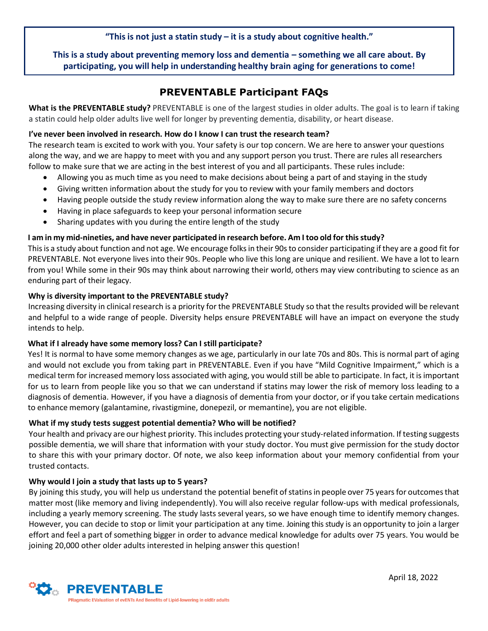## **"This is not just a statin study – it is a study about cognitive health."**

**This is a study about preventing memory loss and dementia – something we all care about. By participating, you will help in understanding healthy brain aging for generations to come!**

# **PREVENTABLE Participant FAQs**

**What is the PREVENTABLE study?** PREVENTABLE is one of the largest studies in older adults. The goal is to learn if taking a statin could help older adults live well for longer by preventing dementia, disability, or heart disease.

### **I've never been involved in research. How do I know I can trust the research team?**

The research team is excited to work with you. Your safety is our top concern. We are here to answer your questions along the way, and we are happy to meet with you and any support person you trust. There are rules all researchers follow to make sure that we are acting in the best interest of you and all participants. These rules include:

- Allowing you as much time as you need to make decisions about being a part of and staying in the study
- Giving written information about the study for you to review with your family members and doctors
- Having people outside the study review information along the way to make sure there are no safety concerns
- Having in place safeguards to keep your personal information secure
- Sharing updates with you during the entire length of the study

#### I am in my mid-nineties, and have never participated in research before. Am I too old for this study?

Thisis a study about function and not age. We encourage folksin their 90sto consider participating if they are a good fit for PREVENTABLE. Not everyone lives into their 90s. People who live this long are unique and resilient. We have a lot to learn from you! While some in their 90s may think about narrowing their world, others may view contributing to science as an enduring part of their legacy.

#### **Why is diversity important to the PREVENTABLE study?**

Increasing diversity in clinical research is a priority for the PREVENTABLE Study so that the results provided will be relevant and helpful to a wide range of people. Diversity helps ensure PREVENTABLE will have an impact on everyone the study intends to help.

#### **What if I already have some memory loss? Can I still participate?**

Yes! It is normal to have some memory changes as we age, particularly in our late 70s and 80s. This is normal part of aging and would not exclude you from taking part in PREVENTABLE. Even if you have "Mild Cognitive Impairment," which is a medical term for increased memory loss associated with aging, you would still be able to participate. In fact, it is important for us to learn from people like you so that we can understand if statins may lower the risk of memory loss leading to a diagnosis of dementia. However, if you have a diagnosis of dementia from your doctor, or if you take certain medications to enhance memory (galantamine, rivastigmine, donepezil, or memantine), you are not eligible.

#### **What if my study tests suggest potential dementia? Who will be notified?**

Your health and privacy are our highest priority. This includes protecting your study-related information. If testing suggests possible dementia, we will share that information with your study doctor. You must give permission for the study doctor to share this with your primary doctor. Of note, we also keep information about your memory confidential from your trusted contacts.

#### **Why would I join a study that lasts up to 5 years?**

By joining this study, you will help us understand the potential benefit of statins in people over 75 years for outcomes that matter most (like memory and living independently). You will also receive regular follow-ups with medical professionals, including a yearly memory screening. The study lasts several years, so we have enough time to identify memory changes. However, you can decide to stop or limit your participation at any time. Joining this study is an opportunity to join a larger effort and feel a part of something bigger in order to advance medical knowledge for adults over 75 years. You would be joining 20,000 other older adults interested in helping answer this question!